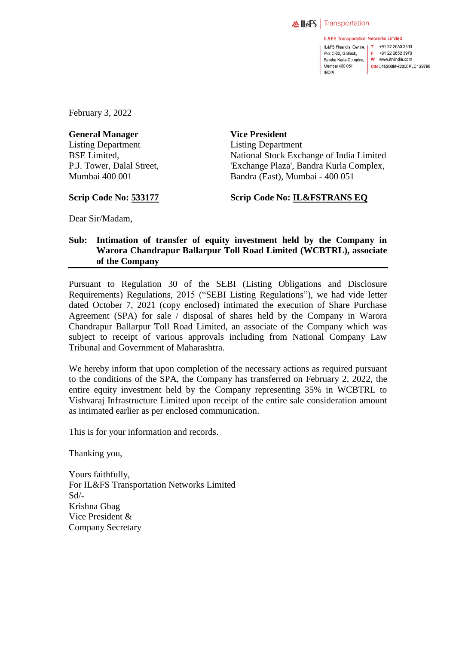

**INDIA** 

**IL&FS Transportation Networks Limited** IL&FS Financial Centre, T +91 22 2653 3333 Plot C-22, G Block, Bandra Kurla Complex, W www.itnlindia.com Mumbai 400 051

F +91 22 2652 3979 CIN L45203MH2000PLC129790

February 3, 2022

**General Manager** Listing Department BSE Limited, P.J. Tower, Dalal Street, Mumbai 400 001

**Vice President** Listing Department National Stock Exchange of India Limited 'Exchange Plaza', Bandra Kurla Complex, Bandra (East), Mumbai - 400 051

**Scrip Code No: 533177**

**Scrip Code No: IL&FSTRANS EQ**

Dear Sir/Madam,

## **Sub: Intimation of transfer of equity investment held by the Company in Warora Chandrapur Ballarpur Toll Road Limited (WCBTRL), associate of the Company**

Pursuant to Regulation 30 of the SEBI (Listing Obligations and Disclosure Requirements) Regulations, 2015 ("SEBI Listing Regulations"), we had vide letter dated October 7, 2021 (copy enclosed) intimated the execution of Share Purchase Agreement (SPA) for sale / disposal of shares held by the Company in Warora Chandrapur Ballarpur Toll Road Limited, an associate of the Company which was subject to receipt of various approvals including from National Company Law Tribunal and Government of Maharashtra.

We hereby inform that upon completion of the necessary actions as required pursuant to the conditions of the SPA, the Company has transferred on February 2, 2022, the entire equity investment held by the Company representing 35% in WCBTRL to Vishvaraj Infrastructure Limited upon receipt of the entire sale consideration amount as intimated earlier as per enclosed communication.

This is for your information and records.

Thanking you,

Yours faithfully, For IL&FS Transportation Networks Limited Sd/- Krishna Ghag Vice President & Company Secretary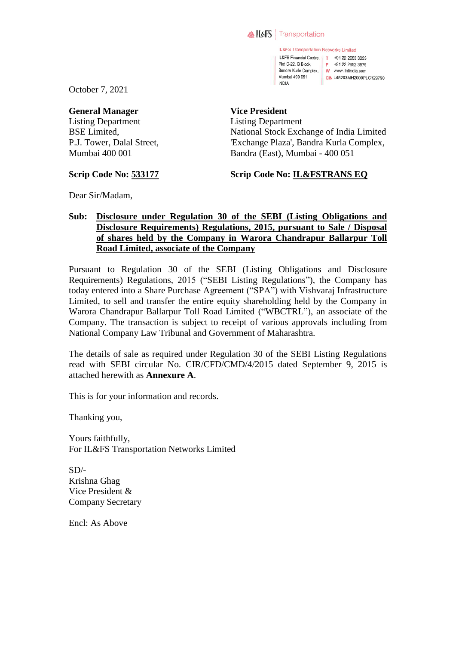#### **AllsFS** Transportation

IL&FS Transportation Networks Limited IL&FS Financial Centre, | T +91 22 2653 3333 Plot C-22, G Block, F +91 22 2652 3979 Bandra Kurla Complex, W www.itnlindia.com Mumbai 400 051 CIN L45203MH2000PLC129790 **INDIA** 

October 7, 2021

#### **General Manager**

Listing Department BSE Limited, P.J. Tower, Dalal Street, Mumbai 400 001

### **Vice President**

Listing Department National Stock Exchange of India Limited 'Exchange Plaza', Bandra Kurla Complex, Bandra (East), Mumbai - 400 051

### **Scrip Code No: 533177**

## **Scrip Code No: IL&FSTRANS EQ**

Dear Sir/Madam,

## **Sub: Disclosure under Regulation 30 of the SEBI (Listing Obligations and Disclosure Requirements) Regulations, 2015, pursuant to Sale / Disposal of shares held by the Company in Warora Chandrapur Ballarpur Toll Road Limited, associate of the Company**

Pursuant to Regulation 30 of the SEBI (Listing Obligations and Disclosure Requirements) Regulations, 2015 ("SEBI Listing Regulations"), the Company has today entered into a Share Purchase Agreement ("SPA") with Vishvaraj Infrastructure Limited, to sell and transfer the entire equity shareholding held by the Company in Warora Chandrapur Ballarpur Toll Road Limited ("WBCTRL"), an associate of the Company. The transaction is subject to receipt of various approvals including from National Company Law Tribunal and Government of Maharashtra.

The details of sale as required under Regulation 30 of the SEBI Listing Regulations read with SEBI circular No. CIR/CFD/CMD/4/2015 dated September 9, 2015 is attached herewith as **Annexure A**.

This is for your information and records.

Thanking you,

Yours faithfully, For IL&FS Transportation Networks Limited

 $SD/-$ Krishna Ghag Vice President & Company Secretary

Encl: As Above